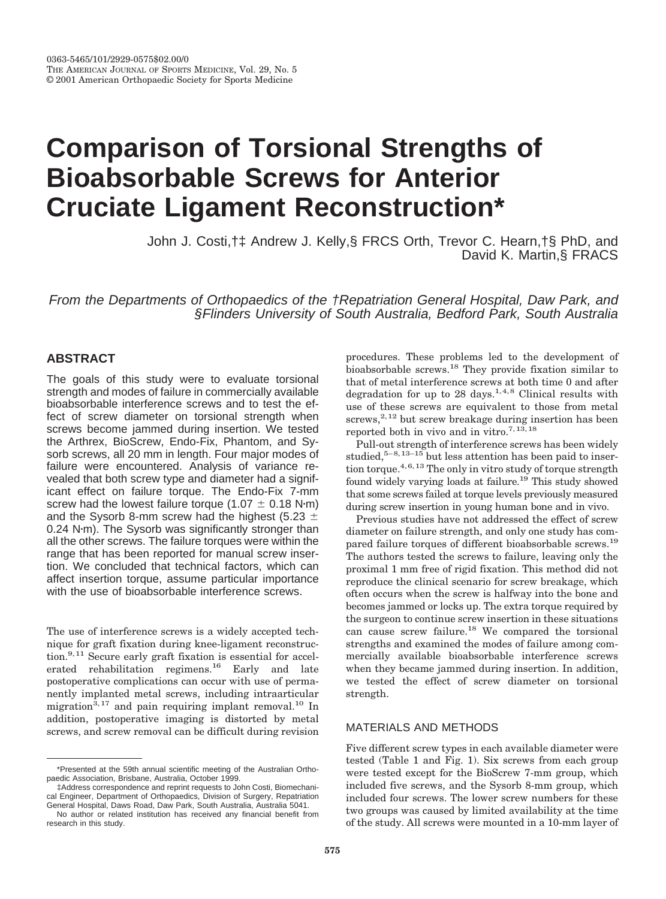# **Comparison of Torsional Strengths of Bioabsorbable Screws for Anterior Cruciate Ligament Reconstruction\***

John J. Costi,†‡ Andrew J. Kelly,§ FRCS Orth, Trevor C. Hearn,†§ PhD, and David K. Martin,§ FRACS

From the Departments of Orthopaedics of the †Repatriation General Hospital, Daw Park, and §Flinders University of South Australia, Bedford Park, South Australia

# **ABSTRACT**

The goals of this study were to evaluate torsional strength and modes of failure in commercially available bioabsorbable interference screws and to test the effect of screw diameter on torsional strength when screws become jammed during insertion. We tested the Arthrex, BioScrew, Endo-Fix, Phantom, and Sysorb screws, all 20 mm in length. Four major modes of failure were encountered. Analysis of variance revealed that both screw type and diameter had a significant effect on failure torque. The Endo-Fix 7-mm screw had the lowest failure torque (1.07  $\pm$  0.18 N·m) and the Sysorb 8-mm screw had the highest (5.23  $\pm$  $0.24$  N $\cdot$ m). The Sysorb was significantly stronger than all the other screws. The failure torques were within the range that has been reported for manual screw insertion. We concluded that technical factors, which can affect insertion torque, assume particular importance with the use of bioabsorbable interference screws.

The use of interference screws is a widely accepted technique for graft fixation during knee-ligament reconstruction.<sup>9,11</sup> Secure early graft fixation is essential for accelerated rehabilitation regimens.<sup>16</sup> Early and late postoperative complications can occur with use of permanently implanted metal screws, including intraarticular migration $^{3,17}$  and pain requiring implant removal.<sup>10</sup> In addition, postoperative imaging is distorted by metal screws, and screw removal can be difficult during revision

‡Address correspondence and reprint requests to John Costi, Biomechanical Engineer, Department of Orthopaedics, Division of Surgery, Repatriation procedures. These problems led to the development of bioabsorbable screws.18 They provide fixation similar to that of metal interference screws at both time 0 and after degradation for up to 28 days.<sup>1,4,8</sup> Clinical results with use of these screws are equivalent to those from metal  $s$ crews,<sup>2,12</sup> but screw breakage during insertion has been reported both in vivo and in vitro. $7,13,18$ 

Pull-out strength of interference screws has been widely studied,  $5-8,13-15$  but less attention has been paid to insertion torque.<sup>4,6,13</sup> The only in vitro study of torque strength found widely varying loads at failure.<sup>19</sup> This study showed that some screws failed at torque levels previously measured during screw insertion in young human bone and in vivo.

Previous studies have not addressed the effect of screw diameter on failure strength, and only one study has compared failure torques of different bioabsorbable screws.19 The authors tested the screws to failure, leaving only the proximal 1 mm free of rigid fixation. This method did not reproduce the clinical scenario for screw breakage, which often occurs when the screw is halfway into the bone and becomes jammed or locks up. The extra torque required by the surgeon to continue screw insertion in these situations can cause screw failure.18 We compared the torsional strengths and examined the modes of failure among commercially available bioabsorbable interference screws when they became jammed during insertion. In addition, we tested the effect of screw diameter on torsional strength.

## MATERIALS AND METHODS

Five different screw types in each available diameter were tested (Table 1 and Fig. 1). Six screws from each group were tested except for the BioScrew 7-mm group, which included five screws, and the Sysorb 8-mm group, which included four screws. The lower screw numbers for these two groups was caused by limited availability at the time of the study. All screws were mounted in a 10-mm layer of

<sup>\*</sup>Presented at the 59th annual scientific meeting of the Australian Orthopaedic Association, Brisbane, Australia, October 1999.

General Hospital, Daws Road, Daw Park, South Australia, Australia 5041. No author or related institution has received any financial benefit from research in this study.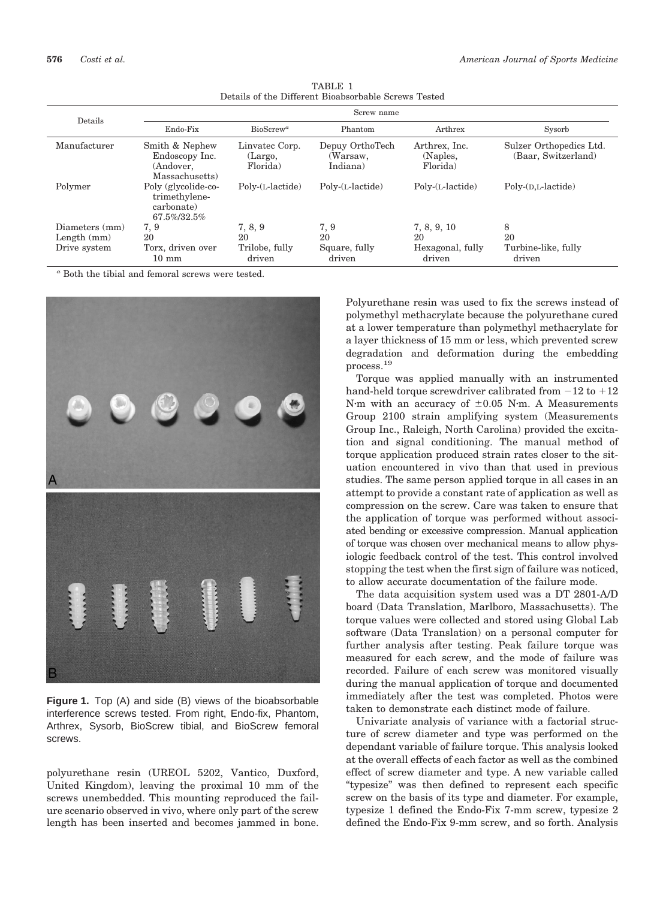| Details        | Screw name                                                        |                                       |                                         |                                       |                                                |  |  |  |
|----------------|-------------------------------------------------------------------|---------------------------------------|-----------------------------------------|---------------------------------------|------------------------------------------------|--|--|--|
|                | $BioServerw^a$<br>Endo-Fix<br>Phantom                             |                                       | Arthrex                                 | Sysorb                                |                                                |  |  |  |
| Manufacturer   | Smith & Nephew<br>Endoscopy Inc.<br>(Andover,<br>Massachusetts)   | Linvatec Corp.<br>(Largo,<br>Florida) | Depuy OrthoTech<br>(Warsaw,<br>Indiana) | Arthrex. Inc.<br>(Naples,<br>Florida) | Sulzer Orthopedics Ltd.<br>(Baar, Switzerland) |  |  |  |
| Polymer        | Poly (glycolide-co-<br>trimethylene-<br>carbonate)<br>67.5%/32.5% | $Poly-L-lactide)$                     | $Poly-L-lactide)$                       | Poly-(L-lactide)                      | Poly-(D,L-lactide)                             |  |  |  |
| Diameters (mm) | 7, 9                                                              | 7, 8, 9                               | 7, 9                                    | 7, 8, 9, 10                           | 8                                              |  |  |  |
| Length $(mm)$  | 20                                                                | 20                                    | 20                                      | 20                                    | 20                                             |  |  |  |
| Drive system   | Torx, driven over<br>$10 \text{ mm}$                              | Trilobe, fully<br>driven              | Square, fully<br>driven                 | Hexagonal, fully<br>driven            | Turbine-like, fully<br>driven                  |  |  |  |

TABLE 1 Details of the Different Bioabsorbable Screws Tested

*<sup>a</sup>* Both the tibial and femoral screws were tested.



**Figure 1.** Top (A) and side (B) views of the bioabsorbable interference screws tested. From right, Endo-fix, Phantom, Arthrex, Sysorb, BioScrew tibial, and BioScrew femoral screws.

polyurethane resin (UREOL 5202, Vantico, Duxford, United Kingdom), leaving the proximal 10 mm of the screws unembedded. This mounting reproduced the failure scenario observed in vivo, where only part of the screw length has been inserted and becomes jammed in bone. Polyurethane resin was used to fix the screws instead of polymethyl methacrylate because the polyurethane cured at a lower temperature than polymethyl methacrylate for a layer thickness of 15 mm or less, which prevented screw degradation and deformation during the embedding process.19

Torque was applied manually with an instrumented hand-held torque screwdriver calibrated from  $-12$  to  $+12$ Nm with an accuracy of  $\pm 0.05$  Nm. A Measurements Group 2100 strain amplifying system (Measurements Group Inc., Raleigh, North Carolina) provided the excitation and signal conditioning. The manual method of torque application produced strain rates closer to the situation encountered in vivo than that used in previous studies. The same person applied torque in all cases in an attempt to provide a constant rate of application as well as compression on the screw. Care was taken to ensure that the application of torque was performed without associated bending or excessive compression. Manual application of torque was chosen over mechanical means to allow physiologic feedback control of the test. This control involved stopping the test when the first sign of failure was noticed, to allow accurate documentation of the failure mode.

The data acquisition system used was a DT 2801-A/D board (Data Translation, Marlboro, Massachusetts). The torque values were collected and stored using Global Lab software (Data Translation) on a personal computer for further analysis after testing. Peak failure torque was measured for each screw, and the mode of failure was recorded. Failure of each screw was monitored visually during the manual application of torque and documented immediately after the test was completed. Photos were taken to demonstrate each distinct mode of failure.

Univariate analysis of variance with a factorial structure of screw diameter and type was performed on the dependant variable of failure torque. This analysis looked at the overall effects of each factor as well as the combined effect of screw diameter and type. A new variable called "typesize" was then defined to represent each specific screw on the basis of its type and diameter. For example, typesize 1 defined the Endo-Fix 7-mm screw, typesize 2 defined the Endo-Fix 9-mm screw, and so forth. Analysis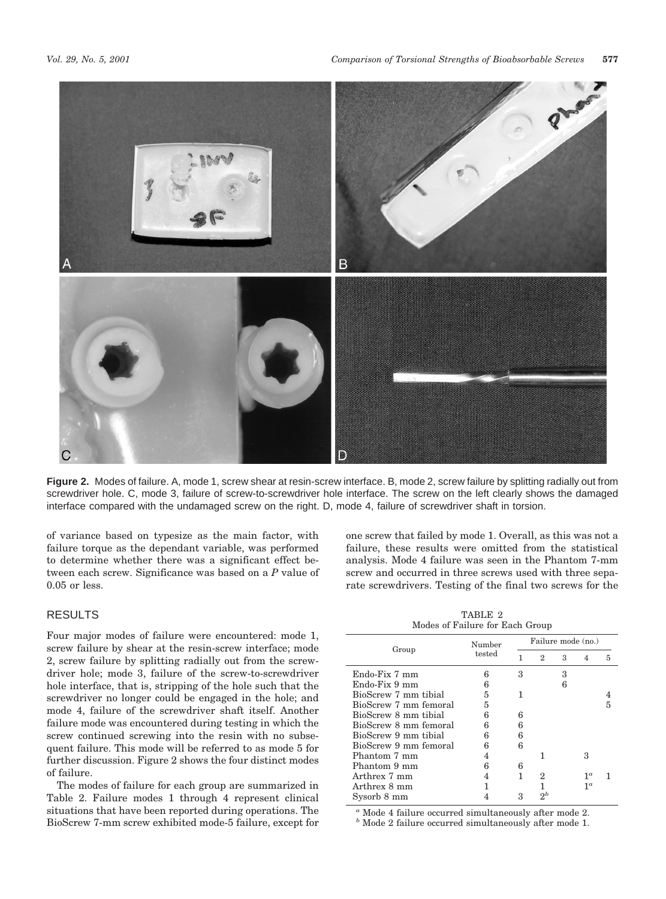

**Figure 2.** Modes of failure. A, mode 1, screw shear at resin-screw interface. B, mode 2, screw failure by splitting radially out from screwdriver hole. C, mode 3, failure of screw-to-screwdriver hole interface. The screw on the left clearly shows the damaged interface compared with the undamaged screw on the right. D, mode 4, failure of screwdriver shaft in torsion.

of variance based on typesize as the main factor, with failure torque as the dependant variable, was performed to determine whether there was a significant effect between each screw. Significance was based on a *P* value of 0.05 or less.

### RESULTS

Four major modes of failure were encountered: mode 1, screw failure by shear at the resin-screw interface; mode 2, screw failure by splitting radially out from the screwdriver hole; mode 3, failure of the screw-to-screwdriver hole interface, that is, stripping of the hole such that the screwdriver no longer could be engaged in the hole; and mode 4, failure of the screwdriver shaft itself. Another failure mode was encountered during testing in which the screw continued screwing into the resin with no subsequent failure. This mode will be referred to as mode 5 for further discussion. Figure 2 shows the four distinct modes of failure.

The modes of failure for each group are summarized in Table 2. Failure modes 1 through 4 represent clinical situations that have been reported during operations. The BioScrew 7-mm screw exhibited mode-5 failure, except for

one screw that failed by mode 1. Overall, as this was not a failure, these results were omitted from the statistical analysis. Mode 4 failure was seen in the Phantom 7-mm screw and occurred in three screws used with three separate screwdrivers. Testing of the final two screws for the

TABLE 2 Modes of Failure for Each Group

| Group                 | Number |   | Failure mode (no.) |   |       |   |  |  |
|-----------------------|--------|---|--------------------|---|-------|---|--|--|
|                       | tested |   | $\overline{2}$     | 3 | 4     | 5 |  |  |
| Endo-Fix 7 mm         | 6      | З |                    | 3 |       |   |  |  |
| Endo-Fix 9 mm         |        |   |                    | R |       |   |  |  |
| BioScrew 7 mm tibial  | 5      |   |                    |   |       |   |  |  |
| BioScrew 7 mm femoral | 5      |   |                    |   |       |   |  |  |
| BioScrew 8 mm tibial  | 6      | հ |                    |   |       |   |  |  |
| BioScrew 8 mm femoral | հ      | հ |                    |   |       |   |  |  |
| BioScrew 9 mm tibial  | 6      | 6 |                    |   |       |   |  |  |
| BioScrew 9 mm femoral | 6      | 6 |                    |   |       |   |  |  |
| Phantom 7 mm          | 4      |   |                    |   | 3     |   |  |  |
| Phantom 9 mm          | б      | 6 |                    |   |       |   |  |  |
| Arthrex 7 mm          |        |   | 2                  |   | $1^a$ |   |  |  |
| Arthrex 8 mm          |        |   |                    |   | $1^a$ |   |  |  |
| Sysorb 8 mm           |        | З | 2 <sup>b</sup>     |   |       |   |  |  |

Mode 4 failure occurred simultaneously after mode 2.

 $^{\emph{b}}$  Mode 2 failure occurred simultaneously after mode 1.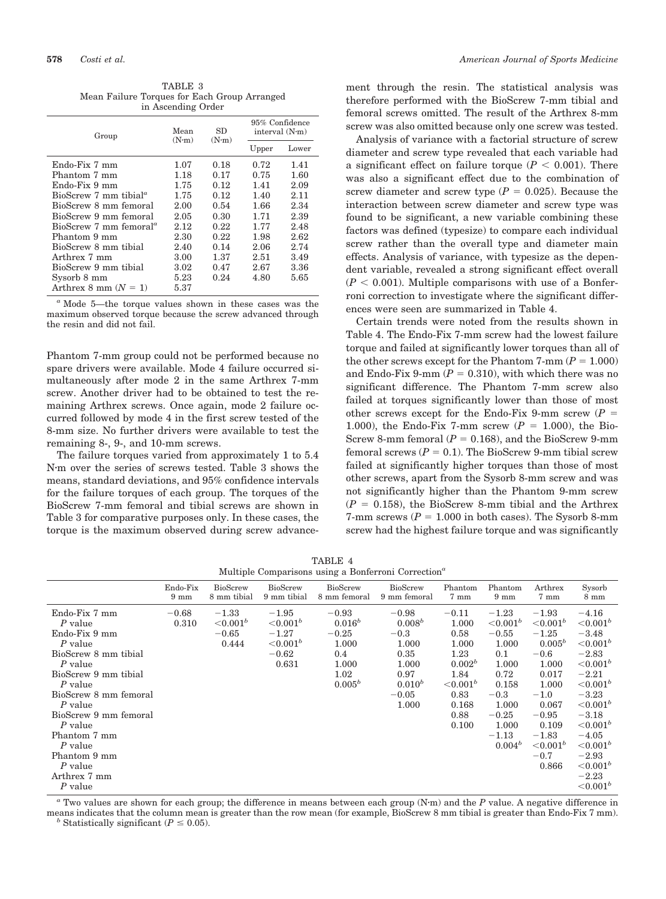| TABLE 3                                      |  |  |  |  |  |  |  |
|----------------------------------------------|--|--|--|--|--|--|--|
| Mean Failure Torques for Each Group Arranged |  |  |  |  |  |  |  |
| in Ascending Order                           |  |  |  |  |  |  |  |

| Mean | SD    | 95% Confidence<br>interval $(N \cdot m)$ |       |  |
|------|-------|------------------------------------------|-------|--|
|      |       | Upper                                    | Lower |  |
| 1.07 | 0.18  | 0.72                                     | 1.41  |  |
| 1.18 | 0.17  | 0.75                                     | 1.60  |  |
| 1.75 | 0.12  | 1.41                                     | 2.09  |  |
| 1.75 | 0.12  | 1.40                                     | 2.11  |  |
| 2.00 | 0.54  | 1.66                                     | 2.34  |  |
| 2.05 | 0.30  | 1.71                                     | 2.39  |  |
| 2.12 | 0.22  | 1.77                                     | 2.48  |  |
| 2.30 | 0.22  | 1.98                                     | 2.62  |  |
| 2.40 | 0.14  | 2.06                                     | 2.74  |  |
| 3.00 | 1.37  | 2.51                                     | 3.49  |  |
| 3.02 | 0.47  | 2.67                                     | 3.36  |  |
| 5.23 | 0.24  | 4.80                                     | 5.65  |  |
| 5.37 |       |                                          |       |  |
|      | (N·m) | $(N \cdot m)$                            |       |  |

*<sup>a</sup>* Mode 5—the torque values shown in these cases was the maximum observed torque because the screw advanced through the resin and did not fail.

Phantom 7-mm group could not be performed because no spare drivers were available. Mode 4 failure occurred simultaneously after mode 2 in the same Arthrex 7-mm screw. Another driver had to be obtained to test the remaining Arthrex screws. Once again, mode 2 failure occurred followed by mode 4 in the first screw tested of the 8-mm size. No further drivers were available to test the remaining 8-, 9-, and 10-mm screws.

The failure torques varied from approximately 1 to 5.4 Nm over the series of screws tested. Table 3 shows the means, standard deviations, and 95% confidence intervals for the failure torques of each group. The torques of the BioScrew 7-mm femoral and tibial screws are shown in Table 3 for comparative purposes only. In these cases, the torque is the maximum observed during screw advancement through the resin. The statistical analysis was therefore performed with the BioScrew 7-mm tibial and femoral screws omitted. The result of the Arthrex 8-mm screw was also omitted because only one screw was tested.

Analysis of variance with a factorial structure of screw diameter and screw type revealed that each variable had a significant effect on failure torque  $(P < 0.001)$ . There was also a significant effect due to the combination of screw diameter and screw type  $(P = 0.025)$ . Because the interaction between screw diameter and screw type was found to be significant, a new variable combining these factors was defined (typesize) to compare each individual screw rather than the overall type and diameter main effects. Analysis of variance, with typesize as the dependent variable, revealed a strong significant effect overall  $(P < 0.001)$ . Multiple comparisons with use of a Bonferroni correction to investigate where the significant differences were seen are summarized in Table 4.

Certain trends were noted from the results shown in Table 4. The Endo-Fix 7-mm screw had the lowest failure torque and failed at significantly lower torques than all of the other screws except for the Phantom  $7\text{-mm}$   $(P = 1.000)$ and Endo-Fix 9-mm  $(P = 0.310)$ , with which there was no significant difference. The Phantom 7-mm screw also failed at torques significantly lower than those of most other screws except for the Endo-Fix 9-mm screw  $(P =$ 1.000), the Endo-Fix 7-mm screw  $(P = 1.000)$ , the Bio-Screw 8-mm femoral  $(P = 0.168)$ , and the BioScrew 9-mm femoral screws  $(P = 0.1)$ . The BioScrew 9-mm tibial screw failed at significantly higher torques than those of most other screws, apart from the Sysorb 8-mm screw and was not significantly higher than the Phantom 9-mm screw  $(P = 0.158)$ , the BioScrew 8-mm tibial and the Arthrex 7-mm screws  $(P = 1.000$  in both cases). The Sysorb 8-mm screw had the highest failure torque and was significantly

| Multiple Comparisons using a Bonferroni Correction <sup>a</sup>                                                                                                                                                                                                                           |                            |                                             |                                                                       |                                                                               |                                                                                                              |                                                                                                                                   |                                                                                                                                                      |                                                                                                                                                                         |                                                                                                                                                                                                                                                 |
|-------------------------------------------------------------------------------------------------------------------------------------------------------------------------------------------------------------------------------------------------------------------------------------------|----------------------------|---------------------------------------------|-----------------------------------------------------------------------|-------------------------------------------------------------------------------|--------------------------------------------------------------------------------------------------------------|-----------------------------------------------------------------------------------------------------------------------------------|------------------------------------------------------------------------------------------------------------------------------------------------------|-------------------------------------------------------------------------------------------------------------------------------------------------------------------------|-------------------------------------------------------------------------------------------------------------------------------------------------------------------------------------------------------------------------------------------------|
|                                                                                                                                                                                                                                                                                           | Endo-Fix<br>$9 \text{ mm}$ | BioScrew<br>8 mm tibial                     | <b>BioScrew</b><br>9 mm tibial                                        | BioScrew<br>8 mm femoral                                                      | <b>BioScrew</b><br>9 mm femoral                                                                              | Phantom<br>7 mm                                                                                                                   | Phantom<br>$9 \text{ mm}$                                                                                                                            | Arthrex<br>$7 \text{ mm}$                                                                                                                                               | Sysorb<br>$8 \text{ mm}$                                                                                                                                                                                                                        |
| Endo-Fix 7 mm<br>P value<br>Endo-Fix 9 mm<br>$P$ value<br>BioScrew 8 mm tibial<br>P value<br>BioScrew 9 mm tibial<br>P value<br>BioScrew 8 mm femoral<br>$P$ value<br>BioScrew 9 mm femoral<br>$P$ value<br>Phantom 7 mm<br>P value<br>Phantom 9 mm<br>P value<br>Arthrex 7 mm<br>P value | $-0.68$<br>0.310           | $-1.33$<br>${<}0.001^b$<br>$-0.65$<br>0.444 | $-1.95$<br>$< 0.001^b$<br>$-1.27$<br>${<}0.001^b$<br>$-0.62$<br>0.631 | $-0.93$<br>$0.016^b$<br>$-0.25$<br>1.000<br>0.4<br>1.000<br>1.02<br>$0.005^b$ | $-0.98$<br>0.008 <sup>b</sup><br>$-0.3$<br>1.000<br>0.35<br>1.000<br>0.97<br>$0.010^{b}$<br>$-0.05$<br>1.000 | $-0.11$<br>1.000<br>0.58<br>1.000<br>1.23<br>0.002 <sup>b</sup><br>1.84<br><,0.001 <sup>b</sup><br>0.83<br>0.168<br>0.88<br>0.100 | $-1.23$<br>${<}0.001^b$<br>$-0.55$<br>1.000<br>0.1<br>1.000<br>0.72<br>0.158<br>$-0.3$<br>1.000<br>$-0.25$<br>1.000<br>$-1.13$<br>0.004 <sup>b</sup> | $-1.93$<br>$< 0.001^b$<br>$-1.25$<br>$0.005^b$<br>$-0.6$<br>1.000<br>0.017<br>1.000<br>$-1.0$<br>0.067<br>$-0.95$<br>0.109<br>$-1.83$<br>$< 0.001^b$<br>$-0.7$<br>0.866 | $-4.16$<br>${<}0.001^b$<br>$-3.48$<br>${<}0.001^b$<br>$-2.83$<br>${<}0.001^b$<br>$-2.21$<br>${<}0.001^b$<br>$-3.23$<br>${<}0.001^b$<br>$-3.18$<br>${<}0.001^b$<br>$-4.05$<br>${<}0.001^b$<br>$-2.93$<br>${<}0.001^b$<br>$-2.23$<br>${<}0.001^b$ |

TABLE 4 Multiple Comparisons using a Bonferroni Correction*<sup>a</sup>*

*<sup>a</sup>* Two values are shown for each group; the difference in means between each group (Nm) and the *P* value. A negative difference in means indicates that the column mean is greater than the row mean (for example, BioScrew 8 mm tibial is greater than Endo-Fix 7 mm). *b* Statistically significant ( $P \le 0.05$ ).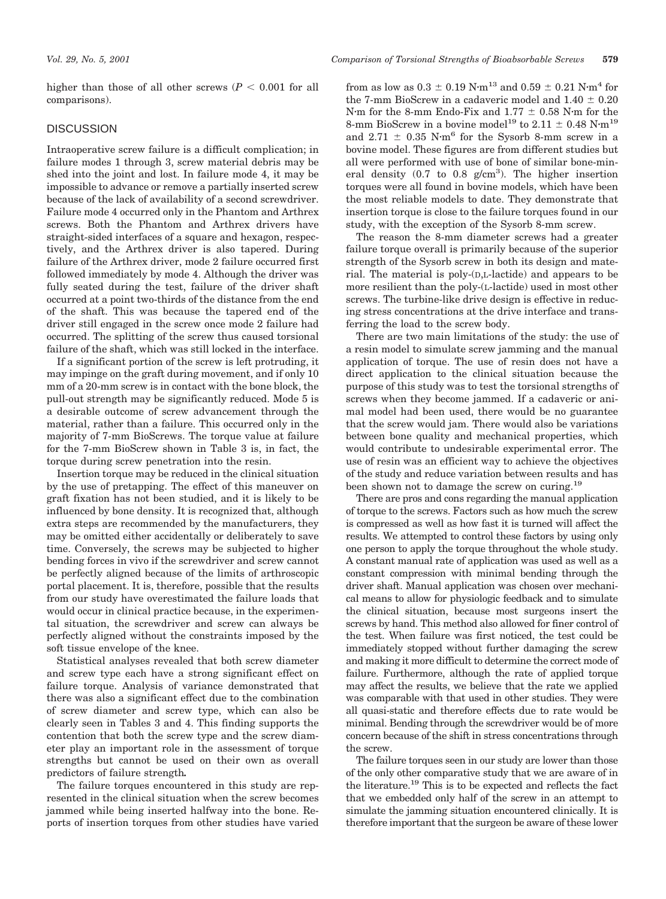higher than those of all other screws  $(P < 0.001$  for all comparisons).

#### **DISCUSSION**

Intraoperative screw failure is a difficult complication; in failure modes 1 through 3, screw material debris may be shed into the joint and lost. In failure mode 4, it may be impossible to advance or remove a partially inserted screw because of the lack of availability of a second screwdriver. Failure mode 4 occurred only in the Phantom and Arthrex screws. Both the Phantom and Arthrex drivers have straight-sided interfaces of a square and hexagon, respectively, and the Arthrex driver is also tapered. During failure of the Arthrex driver, mode 2 failure occurred first followed immediately by mode 4. Although the driver was fully seated during the test, failure of the driver shaft occurred at a point two-thirds of the distance from the end of the shaft. This was because the tapered end of the driver still engaged in the screw once mode 2 failure had occurred. The splitting of the screw thus caused torsional failure of the shaft, which was still locked in the interface.

If a significant portion of the screw is left protruding, it may impinge on the graft during movement, and if only 10 mm of a 20-mm screw is in contact with the bone block, the pull-out strength may be significantly reduced. Mode 5 is a desirable outcome of screw advancement through the material, rather than a failure. This occurred only in the majority of 7-mm BioScrews. The torque value at failure for the 7-mm BioScrew shown in Table 3 is, in fact, the torque during screw penetration into the resin.

Insertion torque may be reduced in the clinical situation by the use of pretapping. The effect of this maneuver on graft fixation has not been studied, and it is likely to be influenced by bone density. It is recognized that, although extra steps are recommended by the manufacturers, they may be omitted either accidentally or deliberately to save time. Conversely, the screws may be subjected to higher bending forces in vivo if the screwdriver and screw cannot be perfectly aligned because of the limits of arthroscopic portal placement. It is, therefore, possible that the results from our study have overestimated the failure loads that would occur in clinical practice because, in the experimental situation, the screwdriver and screw can always be perfectly aligned without the constraints imposed by the soft tissue envelope of the knee.

Statistical analyses revealed that both screw diameter and screw type each have a strong significant effect on failure torque. Analysis of variance demonstrated that there was also a significant effect due to the combination of screw diameter and screw type, which can also be clearly seen in Tables 3 and 4. This finding supports the contention that both the screw type and the screw diameter play an important role in the assessment of torque strengths but cannot be used on their own as overall predictors of failure strength*.*

The failure torques encountered in this study are represented in the clinical situation when the screw becomes jammed while being inserted halfway into the bone. Reports of insertion torques from other studies have varied from as low as  $0.3 \pm 0.19$  N·m<sup>13</sup> and  $0.59 \pm 0.21$  N·m<sup>4</sup> for the 7-mm BioScrew in a cadaveric model and  $1.40 \pm 0.20$ Nm for the 8-mm Endo-Fix and  $1.77 \pm 0.58$  Nm for the 8-mm BioScrew in a bovine model<sup>19</sup> to 2.11  $\pm$  0.48 N·m<sup>19</sup> and  $2.71 \pm 0.35$  N·m<sup>6</sup> for the Sysorb 8-mm screw in a bovine model. These figures are from different studies but all were performed with use of bone of similar bone-mineral density  $(0.7 \text{ to } 0.8 \text{ g/cm}^3)$ . The higher insertion torques were all found in bovine models, which have been the most reliable models to date. They demonstrate that insertion torque is close to the failure torques found in our study, with the exception of the Sysorb 8-mm screw.

The reason the 8-mm diameter screws had a greater failure torque overall is primarily because of the superior strength of the Sysorb screw in both its design and material. The material is poly-(D,L-lactide) and appears to be more resilient than the poly-(L-lactide) used in most other screws. The turbine-like drive design is effective in reducing stress concentrations at the drive interface and transferring the load to the screw body.

There are two main limitations of the study: the use of a resin model to simulate screw jamming and the manual application of torque. The use of resin does not have a direct application to the clinical situation because the purpose of this study was to test the torsional strengths of screws when they become jammed. If a cadaveric or animal model had been used, there would be no guarantee that the screw would jam. There would also be variations between bone quality and mechanical properties, which would contribute to undesirable experimental error. The use of resin was an efficient way to achieve the objectives of the study and reduce variation between results and has been shown not to damage the screw on curing.<sup>19</sup>

There are pros and cons regarding the manual application of torque to the screws. Factors such as how much the screw is compressed as well as how fast it is turned will affect the results. We attempted to control these factors by using only one person to apply the torque throughout the whole study. A constant manual rate of application was used as well as a constant compression with minimal bending through the driver shaft. Manual application was chosen over mechanical means to allow for physiologic feedback and to simulate the clinical situation, because most surgeons insert the screws by hand. This method also allowed for finer control of the test. When failure was first noticed, the test could be immediately stopped without further damaging the screw and making it more difficult to determine the correct mode of failure. Furthermore, although the rate of applied torque may affect the results, we believe that the rate we applied was comparable with that used in other studies. They were all quasi-static and therefore effects due to rate would be minimal. Bending through the screwdriver would be of more concern because of the shift in stress concentrations through the screw.

The failure torques seen in our study are lower than those of the only other comparative study that we are aware of in the literature.19 This is to be expected and reflects the fact that we embedded only half of the screw in an attempt to simulate the jamming situation encountered clinically. It is therefore important that the surgeon be aware of these lower